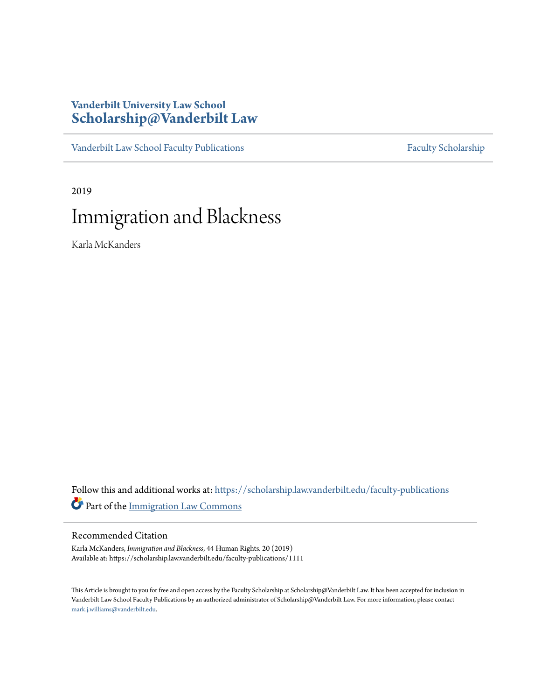### **Vanderbilt University Law School [Scholarship@Vanderbilt Law](https://scholarship.law.vanderbilt.edu/?utm_source=scholarship.law.vanderbilt.edu%2Ffaculty-publications%2F1111&utm_medium=PDF&utm_campaign=PDFCoverPages)**

[Vanderbilt Law School Faculty Publications](https://scholarship.law.vanderbilt.edu/faculty-publications?utm_source=scholarship.law.vanderbilt.edu%2Ffaculty-publications%2F1111&utm_medium=PDF&utm_campaign=PDFCoverPages) [Faculty Scholarship](https://scholarship.law.vanderbilt.edu/faculty-scholarship?utm_source=scholarship.law.vanderbilt.edu%2Ffaculty-publications%2F1111&utm_medium=PDF&utm_campaign=PDFCoverPages)

2019

## Immigration and Blackness

Karla McKanders

Follow this and additional works at: [https://scholarship.law.vanderbilt.edu/faculty-publications](https://scholarship.law.vanderbilt.edu/faculty-publications?utm_source=scholarship.law.vanderbilt.edu%2Ffaculty-publications%2F1111&utm_medium=PDF&utm_campaign=PDFCoverPages) Part of the [Immigration Law Commons](http://network.bepress.com/hgg/discipline/604?utm_source=scholarship.law.vanderbilt.edu%2Ffaculty-publications%2F1111&utm_medium=PDF&utm_campaign=PDFCoverPages)

#### Recommended Citation

Karla McKanders, *Immigration and Blackness*, 44 Human Rights. 20 (2019) Available at: https://scholarship.law.vanderbilt.edu/faculty-publications/1111

This Article is brought to you for free and open access by the Faculty Scholarship at Scholarship@Vanderbilt Law. It has been accepted for inclusion in Vanderbilt Law School Faculty Publications by an authorized administrator of Scholarship@Vanderbilt Law. For more information, please contact [mark.j.williams@vanderbilt.edu](mailto:mark.j.williams@vanderbilt.edu).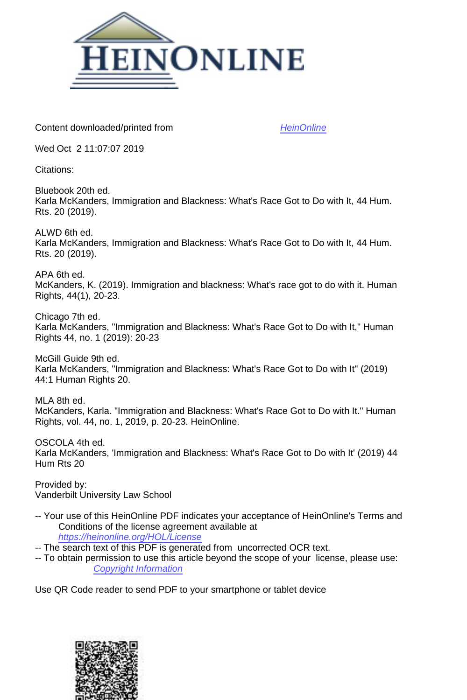

Content downloaded/printed from [HeinOnline](https://heinonline.org/HOL/Page?handle=hein.journals/huri44&collection=journals&id=22&startid=&endid=25)

Wed Oct 2 11:07:07 2019

Citations:

Bluebook 20th ed. Karla McKanders, Immigration and Blackness: What's Race Got to Do with It, 44 Hum. Rts. 20 (2019).

ALWD 6th ed. Karla McKanders, Immigration and Blackness: What's Race Got to Do with It, 44 Hum. Rts. 20 (2019).

APA 6th ed. McKanders, K. (2019). Immigration and blackness: What's race got to do with it. Human Rights, 44(1), 20-23.

Chicago 7th ed. Karla McKanders, "Immigration and Blackness: What's Race Got to Do with It," Human Rights 44, no. 1 (2019): 20-23

McGill Guide 9th ed. Karla McKanders, "Immigration and Blackness: What's Race Got to Do with It" (2019) 44:1 Human Rights 20.

MLA 8th ed. McKanders, Karla. "Immigration and Blackness: What's Race Got to Do with It." Human Rights, vol. 44, no. 1, 2019, p. 20-23. HeinOnline.

OSCOLA 4th ed. Karla McKanders, 'Immigration and Blackness: What's Race Got to Do with It' (2019) 44 Hum Rts 20

Provided by: Vanderbilt University Law School

- -- Your use of this HeinOnline PDF indicates your acceptance of HeinOnline's Terms and Conditions of the license agreement available at <https://heinonline.org/HOL/License>
- -- The search text of this PDF is generated from uncorrected OCR text.
- -- To obtain permission to use this article beyond the scope of your license, please use: [Copyright Information](https://www.copyright.com/ccc/basicSearch.do?operation=go&searchType=0&lastSearch=simple&all=on&titleOrStdNo=0046-8185)

Use QR Code reader to send PDF to your smartphone or tablet device

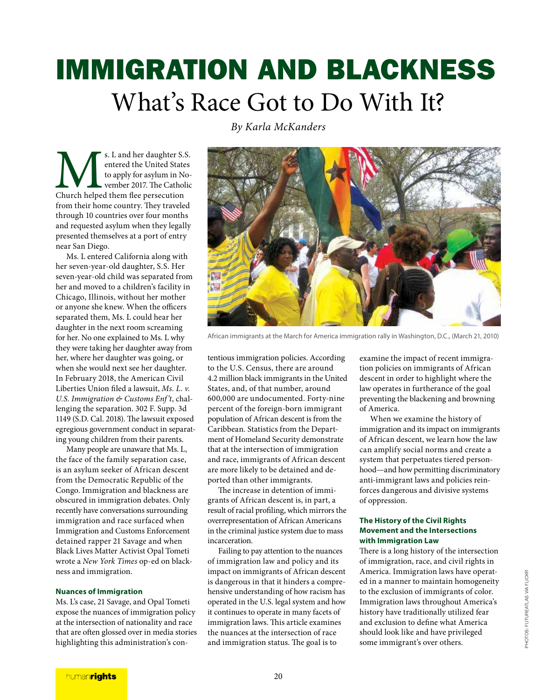# IMMIGRATION AND BLACKNESS What's Race Got to Do With It?

S. L and her daughter S.S. entered the United State<br>to apply for asylum in No<br>church helped them flee persecution s. L and her daughter S.S. entered the United States to apply for asylum in November 2017. The Catholic from their home country. They traveled through 10 countries over four months and requested asylum when they legally presented themselves at a port of entry near San Diego.

Ms. L entered California along with her seven-year-old daughter, S.S. Her seven-year-old child was separated from her and moved to a children's facility in Chicago, Illinois, without her mother or anyone she knew. When the officers separated them, Ms. L could hear her daughter in the next room screaming for her. No one explained to Ms. L why they were taking her daughter away from her, where her daughter was going, or when she would next see her daughter. In February 2018, the American Civil Liberties Union filed a lawsuit, Ms. L. v. U.S. Immigration & Customs Enf't, challenging the separation. 302 F. Supp. 3d 1149 (S.D. Cal. 2018). The lawsuit exposed egregious government conduct in separating young children from their parents.

Many people are unaware that Ms. L, the face of the family separation case, is an asylum seeker of African descent from the Democratic Republic of the Congo. Immigration and blackness are obscured in immigration debates. Only recently have conversations surrounding immigration and race surfaced when Immigration and Customs Enforcement detained rapper 21 Savage and when Black Lives Matter Activist Opal Tometi wrote a New York Times op-ed on blackness and immigration.

#### **Nuances of Immigration**

Ms. L's case, 21 Savage, and Opal Tometi expose the nuances of immigration policy at the intersection of nationality and race that are often glossed over in media stories highlighting this administration's conBy Karla McKanders



African immigrants at the March for America immigration rally in Washington, D.C., (March 21, 2010)

tentious immigration policies. According to the U.S. Census, there are around 4.2 million black immigrants in the United States, and, of that number, around 600,000 are undocumented. Forty-nine percent of the foreign-born immigrant population of African descent is from the Caribbean. Statistics from the Department of Homeland Security demonstrate that at the intersection of immigration and race, immigrants of African descent are more likely to be detained and deported than other immigrants.

he increase in detention of immigrants of African descent is, in part, a result of racial profiling, which mirrors the overrepresentation of African Americans in the criminal justice system due to mass incarceration.

Failing to pay attention to the nuances of immigration law and policy and its impact on immigrants of African descent is dangerous in that it hinders a comprehensive understanding of how racism has operated in the U.S. legal system and how it continues to operate in many facets of immigration laws. This article examines the nuances at the intersection of race and immigration status. The goal is to

examine the impact of recent immigration policies on immigrants of African descent in order to highlight where the law operates in furtherance of the goal preventing the blackening and browning of America.

When we examine the history of immigration and its impact on immigrants of African descent, we learn how the law can amplify social norms and create a system that perpetuates tiered personhood—and how permitting discriminatory anti-immigrant laws and policies reinforces dangerous and divisive systems of oppression.

#### **The History of the Civil Rights Movement and the Intersections with Immigration Law**

here is a long history of the intersection of immigration, race, and civil rights in America. Immigration laws have operated in a manner to maintain homogeneity to the exclusion of immigrants of color. Immigration laws throughout America's history have traditionally utilized fear and exclusion to define what America should look like and have privileged some immigrant's over others.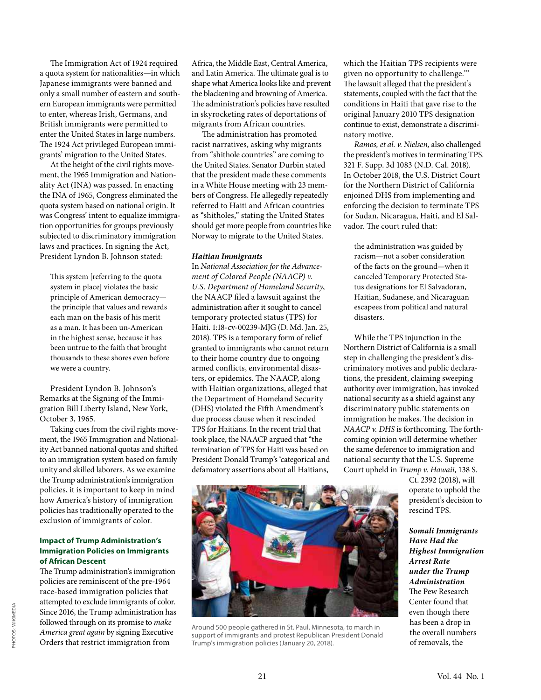he Immigration Act of 1924 required a quota system for nationalities—in which Japanese immigrants were banned and only a small number of eastern and southern European immigrants were permitted to enter, whereas Irish, Germans, and British immigrants were permitted to enter the United States in large numbers. he 1924 Act privileged European immigrants' migration to the United States.

At the height of the civil rights movement, the 1965 Immigration and Nationality Act (INA) was passed. In enacting the INA of 1965, Congress eliminated the quota system based on national origin. It was Congress' intent to equalize immigration opportunities for groups previously subjected to discriminatory immigration laws and practices. In signing the Act, President Lyndon B. Johnson stated:

his system [referring to the quota system in place] violates the basic principle of American democracy the principle that values and rewards each man on the basis of his merit as a man. It has been un-American in the highest sense, because it has been untrue to the faith that brought thousands to these shores even before we were a country.

President Lyndon B. Johnson's Remarks at the Signing of the Immigration Bill Liberty Island, New York, October 3, 1965.

Taking cues from the civil rights movement, the 1965 Immigration and Nationality Act banned national quotas and shited to an immigration system based on family unity and skilled laborers. As we examine the Trump administration's immigration policies, it is important to keep in mind how America's history of immigration policies has traditionally operated to the exclusion of immigrants of color.

#### **Impact of Trump Administration's Immigration Policies on Immigrants of African Descent**

he Trump administration's immigration policies are reminiscent of the pre-1964 race-based immigration policies that attempted to exclude immigrants of color. Since 2016, the Trump administration has followed through on its promise to make America great again by signing Executive Orders that restrict immigration from

Africa, the Middle East, Central America, and Latin America. The ultimate goal is to shape what America looks like and prevent the blackening and browning of America. he administration's policies have resulted in skyrocketing rates of deportations of migrants from African countries.

The administration has promoted racist narratives, asking why migrants from "shithole countries" are coming to the United States. Senator Durbin stated that the president made these comments in a White House meeting with 23 members of Congress. He allegedly repeatedly referred to Haiti and African countries as "shitholes," stating the United States should get more people from countries like Norway to migrate to the United States.

#### **Haitian Immigrants**

In National Association for the Advancement of Colored People (NAACP) v. U.S. Department of Homeland Security, the NAACP filed a lawsuit against the administration ater it sought to cancel temporary protected status (TPS) for Haiti. 1:18-cv-00239-MJG (D. Md. Jan. 25, 2018). TPS is a temporary form of relief granted to immigrants who cannot return to their home country due to ongoing armed conflicts, environmental disasters, or epidemics. The NAACP, along with Haitian organizations, alleged that the Department of Homeland Security (DHS) violated the Fith Amendment's due process clause when it rescinded TPS for Haitians. In the recent trial that took place, the NAACP argued that "the termination of TPS for Haiti was based on President Donald Trump's 'categorical and defamatory assertions about all Haitians,

which the Haitian TPS recipients were given no opportunity to challenge.'" The lawsuit alleged that the president's statements, coupled with the fact that the conditions in Haiti that gave rise to the original January 2010 TPS designation continue to exist, demonstrate a discriminatory motive.

Ramos, et al. v. Nielsen, also challenged the president's motives in terminating TPS. 321 F. Supp. 3d 1083 (N.D. Cal. 2018). In October 2018, the U.S. District Court for the Northern District of California enjoined DHS from implementing and enforcing the decision to terminate TPS for Sudan, Nicaragua, Haiti, and El Salvador. The court ruled that:

the administration was guided by racism—not a sober consideration of the facts on the ground—when it canceled Temporary Protected Status designations for El Salvadoran, Haitian, Sudanese, and Nicaraguan escapees from political and natural disasters.

While the TPS injunction in the Northern District of California is a small step in challenging the president's discriminatory motives and public declarations, the president, claiming sweeping authority over immigration, has invoked national security as a shield against any discriminatory public statements on immigration he makes. The decision in  $NAACP$  v. DHS is forthcoming. The forthcoming opinion will determine whether the same deference to immigration and national security that the U.S. Supreme Court upheld in Trump v. Hawaii, 138 S.

Ct. 2392 (2018), will operate to uphold the president's decision to rescind TPS.

**Somali Immigrants Have Had the Highest Immigration Arrest Rate under the Trump Administration** he Pew Research Center found that even though there has been a drop in the overall numbers of removals, the



Around 500 people gathered in St. Paul, Minnesota, to march in support of immigrants and protest Republican President Donald Trump's immigration policies (January 20, 2018).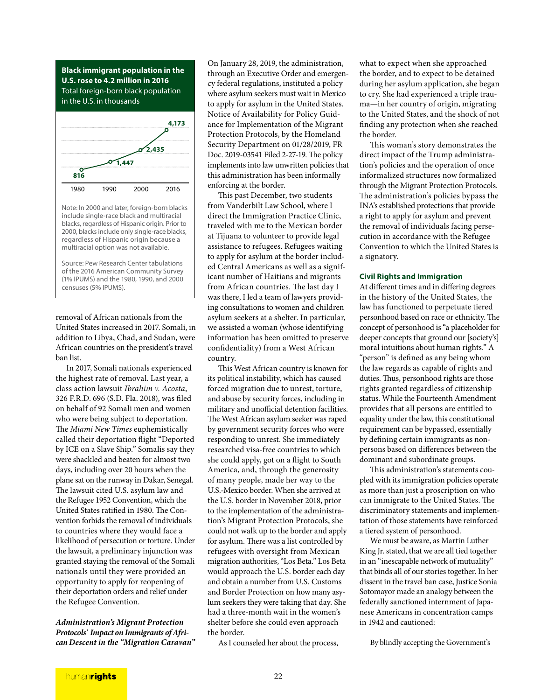**Black immigrant population in the U.S. rose to 4.2 million in 2016** Total foreign-born black population in the U.S. in thousands



Note: In 2000 and later, foreign-born blacks include single-race black and multiracial blacks, regardless of Hispanic origin. Prior to 2000, blacks include only single-race blacks, regardless of Hispanic origin because a multiracial option was not available.

Source: Pew Research Center tabulations of the 2016 American Community Survey (1% IPUMS) and the 1980, 1990, and 2000 censuses (5% IPUMS).

removal of African nationals from the United States increased in 2017. Somali, in addition to Libya, Chad, and Sudan, were African countries on the president's travel ban list.

In 2017, Somali nationals experienced the highest rate of removal. Last year, a class action lawsuit Ibrahim v. Acosta, 326 F.R.D. 696 (S.D. Fla. 2018), was filed on behalf of 92 Somali men and women who were being subject to deportation. he Miami New Times euphemistically called their deportation flight "Deported by ICE on a Slave Ship." Somalis say they were shackled and beaten for almost two days, including over 20 hours when the plane sat on the runway in Dakar, Senegal. he lawsuit cited U.S. asylum law and the Refugee 1952 Convention, which the United States ratified in 1980. The Convention forbids the removal of individuals to countries where they would face a likelihood of persecution or torture. Under the lawsuit, a preliminary injunction was granted staying the removal of the Somali nationals until they were provided an opportunity to apply for reopening of their deportation orders and relief under the Refugee Convention.

**Administration's Migrant Protection Protocols᾿ Impact on Immigrants of African Descent in the "Migration Caravan"** On January 28, 2019, the administration, through an Executive Order and emergency federal regulations, instituted a policy where asylum seekers must wait in Mexico to apply for asylum in the United States. Notice of Availability for Policy Guidance for Implementation of the Migrant Protection Protocols, by the Homeland Security Department on 01/28/2019, FR Doc. 2019-03541 Filed 2-27-19. The policy implements into law unwritten policies that this administration has been informally enforcing at the border.

his past December, two students from Vanderbilt Law School, where I direct the Immigration Practice Clinic, traveled with me to the Mexican border at Tijuana to volunteer to provide legal assistance to refugees. Refugees waiting to apply for asylum at the border included Central Americans as well as a significant number of Haitians and migrants from African countries. The last day I was there, I led a team of lawyers providing consultations to women and children asylum seekers at a shelter. In particular, we assisted a woman (whose identifying information has been omitted to preserve confidentiality) from a West African country.

his West African country is known for its political instability, which has caused forced migration due to unrest, torture, and abuse by security forces, including in military and unofficial detention facilities. he West African asylum seeker was raped by government security forces who were responding to unrest. She immediately researched visa-free countries to which she could apply, got on a flight to South America, and, through the generosity of many people, made her way to the U.S.-Mexico border. When she arrived at the U.S. border in November 2018, prior to the implementation of the administration's Migrant Protection Protocols, she could not walk up to the border and apply for asylum. There was a list controlled by refugees with oversight from Mexican migration authorities, "Los Beta." Los Beta would approach the U.S. border each day and obtain a number from U.S. Customs and Border Protection on how many asylum seekers they were taking that day. She had a three-month wait in the women's shelter before she could even approach the border.

As I counseled her about the process,

what to expect when she approached the border, and to expect to be detained during her asylum application, she began to cry. She had experienced a triple trauma—in her country of origin, migrating to the United States, and the shock of not finding any protection when she reached the border.

his woman's story demonstrates the direct impact of the Trump administration's policies and the operation of once informalized structures now formalized through the Migrant Protection Protocols. he administration's policies bypass the INA's established protections that provide a right to apply for asylum and prevent the removal of individuals facing persecution in accordance with the Refugee Convention to which the United States is a signatory.

#### **Civil Rights and Immigration**

At diferent times and in difering degrees in the history of the United States, the law has functioned to perpetuate tiered personhood based on race or ethnicity. The concept of personhood is "a placeholder for deeper concepts that ground our [society's] moral intuitions about human rights." A "person" is defined as any being whom the law regards as capable of rights and duties. Thus, personhood rights are those rights granted regardless of citizenship status. While the Fourteenth Amendment provides that all persons are entitled to equality under the law, this constitutional requirement can be bypassed, essentially by defining certain immigrants as nonpersons based on diferences between the dominant and subordinate groups.

his administration's statements coupled with its immigration policies operate as more than just a proscription on who can immigrate to the United States. The discriminatory statements and implementation of those statements have reinforced a tiered system of personhood.

We must be aware, as Martin Luther King Jr. stated, that we are all tied together in an "inescapable network of mutuality" that binds all of our stories together. In her dissent in the travel ban case, Justice Sonia Sotomayor made an analogy between the federally sanctioned internment of Japanese Americans in concentration camps in 1942 and cautioned:

By blindly accepting the Government's